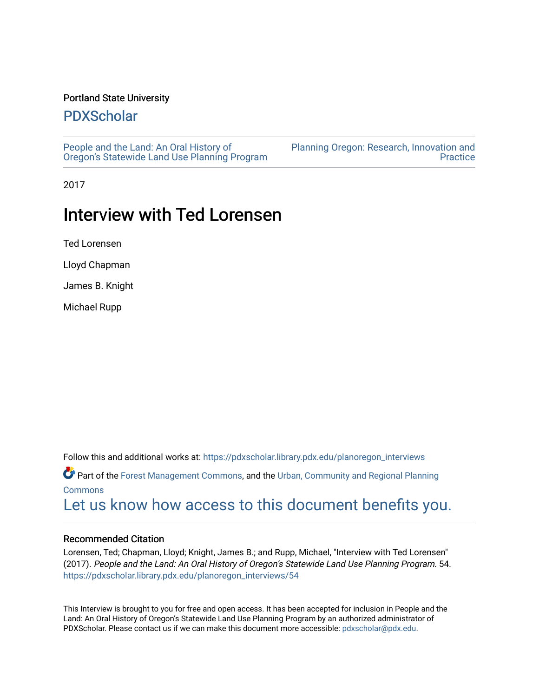#### Portland State University

# [PDXScholar](https://pdxscholar.library.pdx.edu/)

[People and the Land: An Oral History of](https://pdxscholar.library.pdx.edu/planoregon_interviews) [Oregon's Statewide Land Use Planning Program](https://pdxscholar.library.pdx.edu/planoregon_interviews) [Planning Oregon: Research, Innovation and](https://pdxscholar.library.pdx.edu/planoregon)  **Practice** 

2017

# Interview with Ted Lorensen

Ted Lorensen

Lloyd Chapman

James B. Knight

Michael Rupp

Follow this and additional works at: [https://pdxscholar.library.pdx.edu/planoregon\\_interviews](https://pdxscholar.library.pdx.edu/planoregon_interviews?utm_source=pdxscholar.library.pdx.edu%2Fplanoregon_interviews%2F54&utm_medium=PDF&utm_campaign=PDFCoverPages) 

Part of the [Forest Management Commons](https://network.bepress.com/hgg/discipline/92?utm_source=pdxscholar.library.pdx.edu%2Fplanoregon_interviews%2F54&utm_medium=PDF&utm_campaign=PDFCoverPages), and the [Urban, Community and Regional Planning](https://network.bepress.com/hgg/discipline/776?utm_source=pdxscholar.library.pdx.edu%2Fplanoregon_interviews%2F54&utm_medium=PDF&utm_campaign=PDFCoverPages)  [Commons](https://network.bepress.com/hgg/discipline/776?utm_source=pdxscholar.library.pdx.edu%2Fplanoregon_interviews%2F54&utm_medium=PDF&utm_campaign=PDFCoverPages)

[Let us know how access to this document benefits you.](http://library.pdx.edu/services/pdxscholar-services/pdxscholar-feedback/) 

#### Recommended Citation

Lorensen, Ted; Chapman, Lloyd; Knight, James B.; and Rupp, Michael, "Interview with Ted Lorensen" (2017). People and the Land: An Oral History of Oregon's Statewide Land Use Planning Program. 54. [https://pdxscholar.library.pdx.edu/planoregon\\_interviews/54](https://pdxscholar.library.pdx.edu/planoregon_interviews/54?utm_source=pdxscholar.library.pdx.edu%2Fplanoregon_interviews%2F54&utm_medium=PDF&utm_campaign=PDFCoverPages)

This Interview is brought to you for free and open access. It has been accepted for inclusion in People and the Land: An Oral History of Oregon's Statewide Land Use Planning Program by an authorized administrator of PDXScholar. Please contact us if we can make this document more accessible: [pdxscholar@pdx.edu.](mailto:pdxscholar@pdx.edu)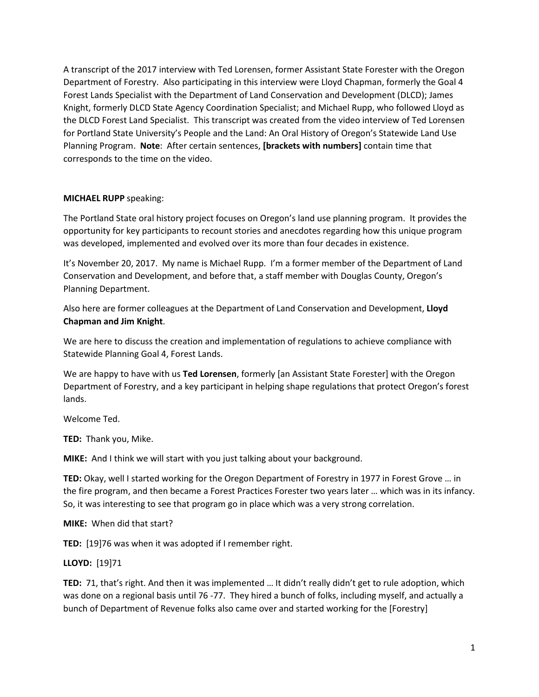A transcript of the 2017 interview with Ted Lorensen, former Assistant State Forester with the Oregon Department of Forestry. Also participating in this interview were Lloyd Chapman, formerly the Goal 4 Forest Lands Specialist with the Department of Land Conservation and Development (DLCD); James Knight, formerly DLCD State Agency Coordination Specialist; and Michael Rupp, who followed Lloyd as the DLCD Forest Land Specialist. This transcript was created from the video interview of Ted Lorensen for Portland State University's People and the Land: An Oral History of Oregon's Statewide Land Use Planning Program. **Note**: After certain sentences, **[brackets with numbers]** contain time that corresponds to the time on the video.

## **MICHAEL RUPP** speaking:

The Portland State oral history project focuses on Oregon's land use planning program. It provides the opportunity for key participants to recount stories and anecdotes regarding how this unique program was developed, implemented and evolved over its more than four decades in existence.

It's November 20, 2017. My name is Michael Rupp. I'm a former member of the Department of Land Conservation and Development, and before that, a staff member with Douglas County, Oregon's Planning Department.

Also here are former colleagues at the Department of Land Conservation and Development, **Lloyd Chapman and Jim Knight**.

We are here to discuss the creation and implementation of regulations to achieve compliance with Statewide Planning Goal 4, Forest Lands.

We are happy to have with us **Ted Lorensen**, formerly [an Assistant State Forester] with the Oregon Department of Forestry, and a key participant in helping shape regulations that protect Oregon's forest lands.

Welcome Ted.

**TED:** Thank you, Mike.

**MIKE:** And I think we will start with you just talking about your background.

**TED:** Okay, well I started working for the Oregon Department of Forestry in 1977 in Forest Grove … in the fire program, and then became a Forest Practices Forester two years later … which was in its infancy. So, it was interesting to see that program go in place which was a very strong correlation.

**MIKE:** When did that start?

**TED:** [19]76 was when it was adopted if I remember right.

**LLOYD:** [19]71

**TED:** 71, that's right. And then it was implemented … It didn't really didn't get to rule adoption, which was done on a regional basis until 76 -77. They hired a bunch of folks, including myself, and actually a bunch of Department of Revenue folks also came over and started working for the [Forestry]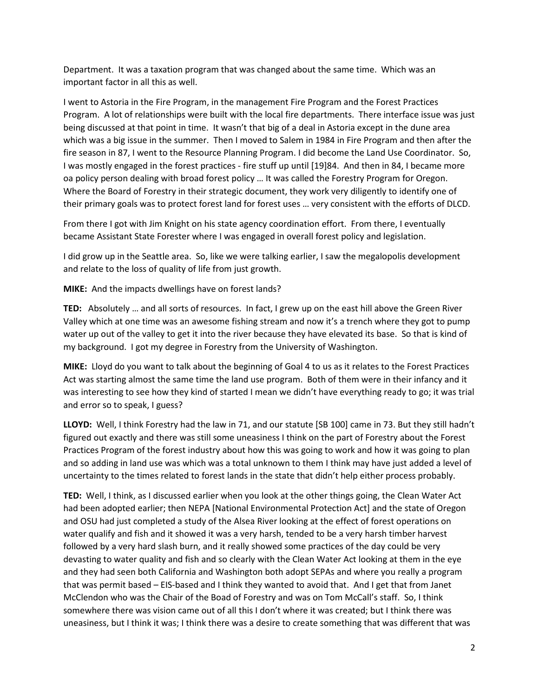Department. It was a taxation program that was changed about the same time. Which was an important factor in all this as well.

I went to Astoria in the Fire Program, in the management Fire Program and the Forest Practices Program. A lot of relationships were built with the local fire departments. There interface issue was just being discussed at that point in time. It wasn't that big of a deal in Astoria except in the dune area which was a big issue in the summer. Then I moved to Salem in 1984 in Fire Program and then after the fire season in 87, I went to the Resource Planning Program. I did become the Land Use Coordinator. So, I was mostly engaged in the forest practices - fire stuff up until [19]84. And then in 84, I became more oa policy person dealing with broad forest policy … It was called the Forestry Program for Oregon. Where the Board of Forestry in their strategic document, they work very diligently to identify one of their primary goals was to protect forest land for forest uses … very consistent with the efforts of DLCD.

From there I got with Jim Knight on his state agency coordination effort. From there, I eventually became Assistant State Forester where I was engaged in overall forest policy and legislation.

I did grow up in the Seattle area. So, like we were talking earlier, I saw the megalopolis development and relate to the loss of quality of life from just growth.

**MIKE:** And the impacts dwellings have on forest lands?

**TED:** Absolutely … and all sorts of resources. In fact, I grew up on the east hill above the Green River Valley which at one time was an awesome fishing stream and now it's a trench where they got to pump water up out of the valley to get it into the river because they have elevated its base. So that is kind of my background. I got my degree in Forestry from the University of Washington.

**MIKE:** Lloyd do you want to talk about the beginning of Goal 4 to us as it relates to the Forest Practices Act was starting almost the same time the land use program. Both of them were in their infancy and it was interesting to see how they kind of started I mean we didn't have everything ready to go; it was trial and error so to speak, I guess?

**LLOYD:** Well, I think Forestry had the law in 71, and our statute [SB 100] came in 73. But they still hadn't figured out exactly and there was still some uneasiness I think on the part of Forestry about the Forest Practices Program of the forest industry about how this was going to work and how it was going to plan and so adding in land use was which was a total unknown to them I think may have just added a level of uncertainty to the times related to forest lands in the state that didn't help either process probably.

**TED:** Well, I think, as I discussed earlier when you look at the other things going, the Clean Water Act had been adopted earlier; then NEPA [National Environmental Protection Act] and the state of Oregon and OSU had just completed a study of the Alsea River looking at the effect of forest operations on water qualify and fish and it showed it was a very harsh, tended to be a very harsh timber harvest followed by a very hard slash burn, and it really showed some practices of the day could be very devasting to water quality and fish and so clearly with the Clean Water Act looking at them in the eye and they had seen both California and Washington both adopt SEPAs and where you really a program that was permit based – EIS-based and I think they wanted to avoid that. And I get that from Janet McClendon who was the Chair of the Boad of Forestry and was on Tom McCall's staff. So, I think somewhere there was vision came out of all this I don't where it was created; but I think there was uneasiness, but I think it was; I think there was a desire to create something that was different that was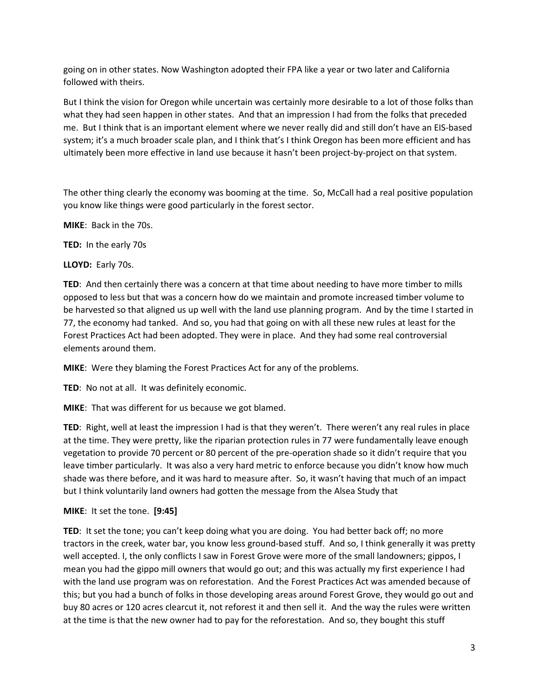going on in other states. Now Washington adopted their FPA like a year or two later and California followed with theirs.

But I think the vision for Oregon while uncertain was certainly more desirable to a lot of those folks than what they had seen happen in other states. And that an impression I had from the folks that preceded me. But I think that is an important element where we never really did and still don't have an EIS-based system; it's a much broader scale plan, and I think that's I think Oregon has been more efficient and has ultimately been more effective in land use because it hasn't been project-by-project on that system.

The other thing clearly the economy was booming at the time. So, McCall had a real positive population you know like things were good particularly in the forest sector.

**MIKE**: Back in the 70s.

**TED:** In the early 70s

**LLOYD:** Early 70s.

**TED**: And then certainly there was a concern at that time about needing to have more timber to mills opposed to less but that was a concern how do we maintain and promote increased timber volume to be harvested so that aligned us up well with the land use planning program. And by the time I started in 77, the economy had tanked. And so, you had that going on with all these new rules at least for the Forest Practices Act had been adopted. They were in place. And they had some real controversial elements around them.

**MIKE**: Were they blaming the Forest Practices Act for any of the problems.

**TED**: No not at all. It was definitely economic.

**MIKE**: That was different for us because we got blamed.

**TED**: Right, well at least the impression I had is that they weren't. There weren't any real rules in place at the time. They were pretty, like the riparian protection rules in 77 were fundamentally leave enough vegetation to provide 70 percent or 80 percent of the pre-operation shade so it didn't require that you leave timber particularly. It was also a very hard metric to enforce because you didn't know how much shade was there before, and it was hard to measure after. So, it wasn't having that much of an impact but I think voluntarily land owners had gotten the message from the Alsea Study that

**MIKE**: It set the tone. **[9:45]**

**TED**: It set the tone; you can't keep doing what you are doing. You had better back off; no more tractors in the creek, water bar, you know less ground-based stuff. And so, I think generally it was pretty well accepted. I, the only conflicts I saw in Forest Grove were more of the small landowners; gippos, I mean you had the gippo mill owners that would go out; and this was actually my first experience I had with the land use program was on reforestation. And the Forest Practices Act was amended because of this; but you had a bunch of folks in those developing areas around Forest Grove, they would go out and buy 80 acres or 120 acres clearcut it, not reforest it and then sell it. And the way the rules were written at the time is that the new owner had to pay for the reforestation. And so, they bought this stuff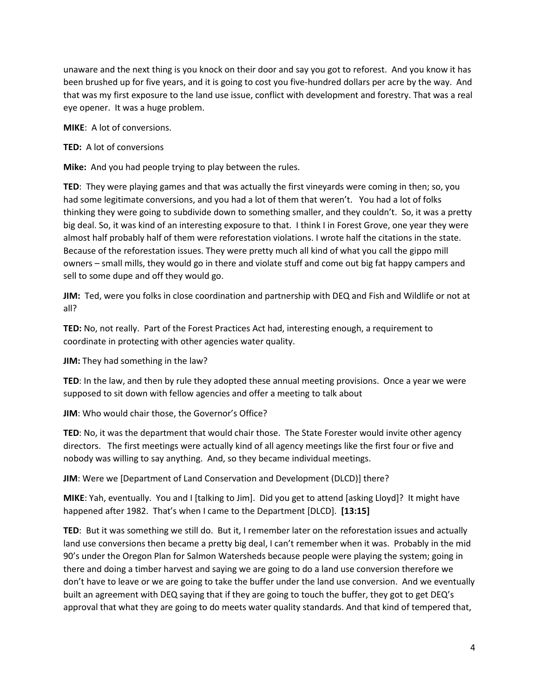unaware and the next thing is you knock on their door and say you got to reforest. And you know it has been brushed up for five years, and it is going to cost you five-hundred dollars per acre by the way. And that was my first exposure to the land use issue, conflict with development and forestry. That was a real eye opener. It was a huge problem.

**MIKE**: A lot of conversions.

#### **TED:** A lot of conversions

**Mike:** And you had people trying to play between the rules.

**TED**: They were playing games and that was actually the first vineyards were coming in then; so, you had some legitimate conversions, and you had a lot of them that weren't. You had a lot of folks thinking they were going to subdivide down to something smaller, and they couldn't. So, it was a pretty big deal. So, it was kind of an interesting exposure to that. I think I in Forest Grove, one year they were almost half probably half of them were reforestation violations. I wrote half the citations in the state. Because of the reforestation issues. They were pretty much all kind of what you call the gippo mill owners – small mills, they would go in there and violate stuff and come out big fat happy campers and sell to some dupe and off they would go.

**JIM:** Ted, were you folks in close coordination and partnership with DEQ and Fish and Wildlife or not at all?

**TED:** No, not really. Part of the Forest Practices Act had, interesting enough, a requirement to coordinate in protecting with other agencies water quality.

**JIM:** They had something in the law?

**TED**: In the law, and then by rule they adopted these annual meeting provisions. Once a year we were supposed to sit down with fellow agencies and offer a meeting to talk about

**JIM**: Who would chair those, the Governor's Office?

**TED**: No, it was the department that would chair those. The State Forester would invite other agency directors. The first meetings were actually kind of all agency meetings like the first four or five and nobody was willing to say anything. And, so they became individual meetings.

**JIM**: Were we [Department of Land Conservation and Development (DLCD)] there?

**MIKE**: Yah, eventually. You and I [talking to Jim]. Did you get to attend [asking Lloyd]? It might have happened after 1982. That's when I came to the Department [DLCD]. **[13:15]**

**TED**: But it was something we still do. But it, I remember later on the reforestation issues and actually land use conversions then became a pretty big deal, I can't remember when it was. Probably in the mid 90's under the Oregon Plan for Salmon Watersheds because people were playing the system; going in there and doing a timber harvest and saying we are going to do a land use conversion therefore we don't have to leave or we are going to take the buffer under the land use conversion. And we eventually built an agreement with DEQ saying that if they are going to touch the buffer, they got to get DEQ's approval that what they are going to do meets water quality standards. And that kind of tempered that,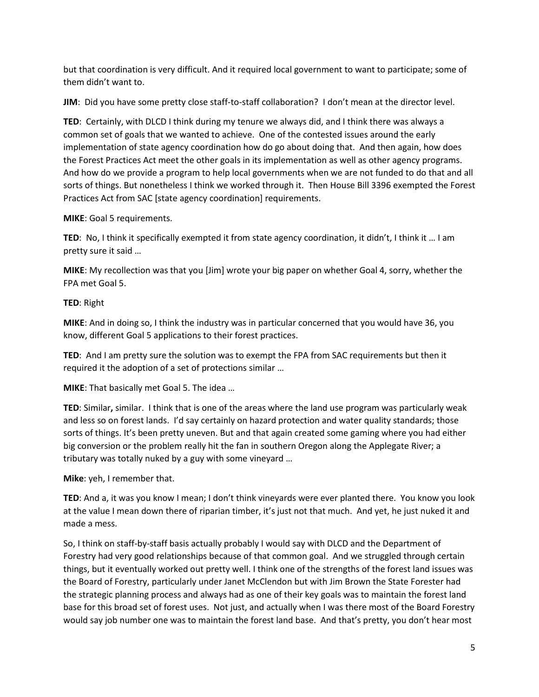but that coordination is very difficult. And it required local government to want to participate; some of them didn't want to.

**JIM**: Did you have some pretty close staff-to-staff collaboration? I don't mean at the director level.

**TED**: Certainly, with DLCD I think during my tenure we always did, and I think there was always a common set of goals that we wanted to achieve. One of the contested issues around the early implementation of state agency coordination how do go about doing that. And then again, how does the Forest Practices Act meet the other goals in its implementation as well as other agency programs. And how do we provide a program to help local governments when we are not funded to do that and all sorts of things. But nonetheless I think we worked through it. Then House Bill 3396 exempted the Forest Practices Act from SAC [state agency coordination] requirements.

**MIKE**: Goal 5 requirements.

**TED**: No, I think it specifically exempted it from state agency coordination, it didn't, I think it … I am pretty sure it said …

**MIKE**: My recollection was that you [Jim] wrote your big paper on whether Goal 4, sorry, whether the FPA met Goal 5.

#### **TED**: Right

**MIKE**: And in doing so, I think the industry was in particular concerned that you would have 36, you know, different Goal 5 applications to their forest practices.

**TED**: And I am pretty sure the solution was to exempt the FPA from SAC requirements but then it required it the adoption of a set of protections similar …

**MIKE**: That basically met Goal 5. The idea …

**TED**: Similar**,** similar. I think that is one of the areas where the land use program was particularly weak and less so on forest lands. I'd say certainly on hazard protection and water quality standards; those sorts of things. It's been pretty uneven. But and that again created some gaming where you had either big conversion or the problem really hit the fan in southern Oregon along the Applegate River; a tributary was totally nuked by a guy with some vineyard …

**Mike**: yeh, I remember that.

**TED**: And a, it was you know I mean; I don't think vineyards were ever planted there. You know you look at the value I mean down there of riparian timber, it's just not that much. And yet, he just nuked it and made a mess.

So, I think on staff-by-staff basis actually probably I would say with DLCD and the Department of Forestry had very good relationships because of that common goal. And we struggled through certain things, but it eventually worked out pretty well. I think one of the strengths of the forest land issues was the Board of Forestry, particularly under Janet McClendon but with Jim Brown the State Forester had the strategic planning process and always had as one of their key goals was to maintain the forest land base for this broad set of forest uses. Not just, and actually when I was there most of the Board Forestry would say job number one was to maintain the forest land base. And that's pretty, you don't hear most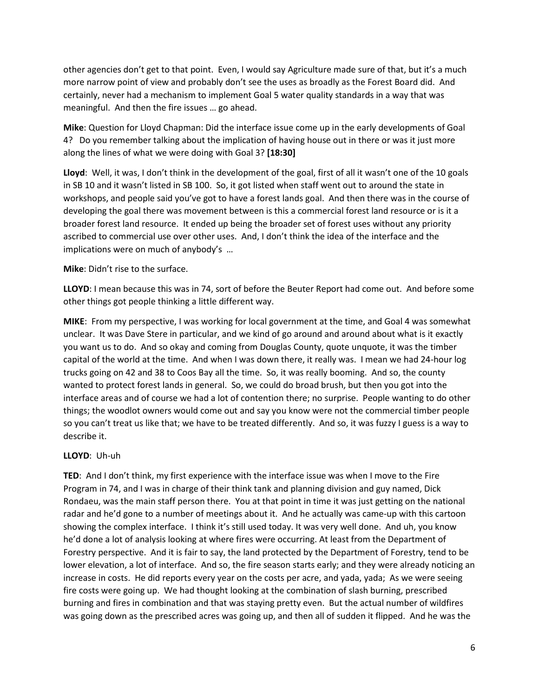other agencies don't get to that point. Even, I would say Agriculture made sure of that, but it's a much more narrow point of view and probably don't see the uses as broadly as the Forest Board did. And certainly, never had a mechanism to implement Goal 5 water quality standards in a way that was meaningful. And then the fire issues … go ahead.

**Mike**: Question for Lloyd Chapman: Did the interface issue come up in the early developments of Goal 4? Do you remember talking about the implication of having house out in there or was it just more along the lines of what we were doing with Goal 3? **[18:30]**

**Lloyd**: Well, it was, I don't think in the development of the goal, first of all it wasn't one of the 10 goals in SB 10 and it wasn't listed in SB 100. So, it got listed when staff went out to around the state in workshops, and people said you've got to have a forest lands goal. And then there was in the course of developing the goal there was movement between is this a commercial forest land resource or is it a broader forest land resource. It ended up being the broader set of forest uses without any priority ascribed to commercial use over other uses. And, I don't think the idea of the interface and the implications were on much of anybody's …

**Mike**: Didn't rise to the surface.

**LLOYD**: I mean because this was in 74, sort of before the Beuter Report had come out. And before some other things got people thinking a little different way.

**MIKE**: From my perspective, I was working for local government at the time, and Goal 4 was somewhat unclear. It was Dave Stere in particular, and we kind of go around and around about what is it exactly you want us to do. And so okay and coming from Douglas County, quote unquote, it was the timber capital of the world at the time. And when I was down there, it really was. I mean we had 24-hour log trucks going on 42 and 38 to Coos Bay all the time. So, it was really booming. And so, the county wanted to protect forest lands in general. So, we could do broad brush, but then you got into the interface areas and of course we had a lot of contention there; no surprise. People wanting to do other things; the woodlot owners would come out and say you know were not the commercial timber people so you can't treat us like that; we have to be treated differently. And so, it was fuzzy I guess is a way to describe it.

# **LLOYD**: Uh-uh

**TED**: And I don't think, my first experience with the interface issue was when I move to the Fire Program in 74, and I was in charge of their think tank and planning division and guy named, Dick Rondaeu, was the main staff person there. You at that point in time it was just getting on the national radar and he'd gone to a number of meetings about it. And he actually was came-up with this cartoon showing the complex interface. I think it's still used today. It was very well done. And uh, you know he'd done a lot of analysis looking at where fires were occurring. At least from the Department of Forestry perspective. And it is fair to say, the land protected by the Department of Forestry, tend to be lower elevation, a lot of interface. And so, the fire season starts early; and they were already noticing an increase in costs. He did reports every year on the costs per acre, and yada, yada; As we were seeing fire costs were going up. We had thought looking at the combination of slash burning, prescribed burning and fires in combination and that was staying pretty even. But the actual number of wildfires was going down as the prescribed acres was going up, and then all of sudden it flipped. And he was the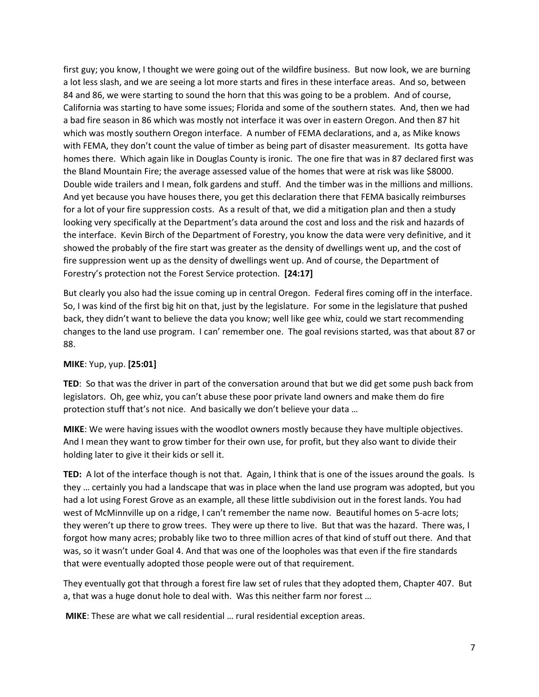first guy; you know, I thought we were going out of the wildfire business. But now look, we are burning a lot less slash, and we are seeing a lot more starts and fires in these interface areas. And so, between 84 and 86, we were starting to sound the horn that this was going to be a problem. And of course, California was starting to have some issues; Florida and some of the southern states. And, then we had a bad fire season in 86 which was mostly not interface it was over in eastern Oregon. And then 87 hit which was mostly southern Oregon interface. A number of FEMA declarations, and a, as Mike knows with FEMA, they don't count the value of timber as being part of disaster measurement. Its gotta have homes there. Which again like in Douglas County is ironic. The one fire that was in 87 declared first was the Bland Mountain Fire; the average assessed value of the homes that were at risk was like \$8000. Double wide trailers and I mean, folk gardens and stuff. And the timber was in the millions and millions. And yet because you have houses there, you get this declaration there that FEMA basically reimburses for a lot of your fire suppression costs. As a result of that, we did a mitigation plan and then a study looking very specifically at the Department's data around the cost and loss and the risk and hazards of the interface. Kevin Birch of the Department of Forestry, you know the data were very definitive, and it showed the probably of the fire start was greater as the density of dwellings went up, and the cost of fire suppression went up as the density of dwellings went up. And of course, the Department of Forestry's protection not the Forest Service protection. **[24:17]**

But clearly you also had the issue coming up in central Oregon. Federal fires coming off in the interface. So, I was kind of the first big hit on that, just by the legislature. For some in the legislature that pushed back, they didn't want to believe the data you know; well like gee whiz, could we start recommending changes to the land use program. I can' remember one. The goal revisions started, was that about 87 or 88.

# **MIKE**: Yup, yup. **[25:01]**

**TED**: So that was the driver in part of the conversation around that but we did get some push back from legislators. Oh, gee whiz, you can't abuse these poor private land owners and make them do fire protection stuff that's not nice. And basically we don't believe your data …

**MIKE**: We were having issues with the woodlot owners mostly because they have multiple objectives. And I mean they want to grow timber for their own use, for profit, but they also want to divide their holding later to give it their kids or sell it.

**TED:** A lot of the interface though is not that. Again, I think that is one of the issues around the goals. Is they … certainly you had a landscape that was in place when the land use program was adopted, but you had a lot using Forest Grove as an example, all these little subdivision out in the forest lands. You had west of McMinnville up on a ridge, I can't remember the name now. Beautiful homes on 5-acre lots; they weren't up there to grow trees. They were up there to live. But that was the hazard. There was, I forgot how many acres; probably like two to three million acres of that kind of stuff out there. And that was, so it wasn't under Goal 4. And that was one of the loopholes was that even if the fire standards that were eventually adopted those people were out of that requirement.

They eventually got that through a forest fire law set of rules that they adopted them, Chapter 407. But a, that was a huge donut hole to deal with. Was this neither farm nor forest …

**MIKE**: These are what we call residential … rural residential exception areas.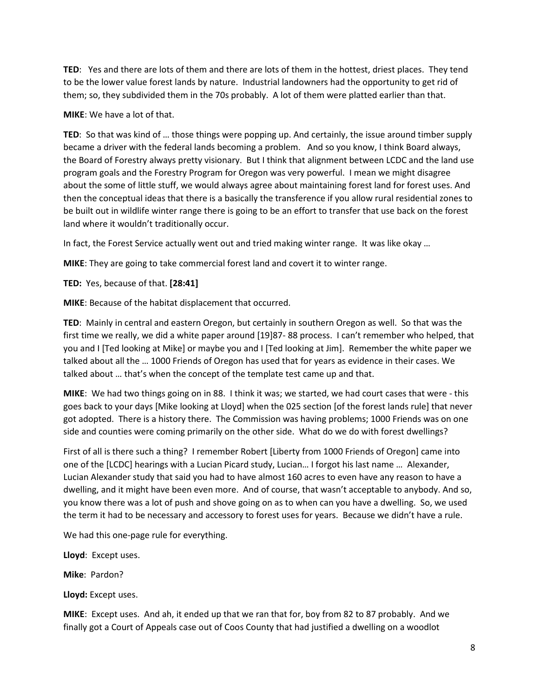**TED**: Yes and there are lots of them and there are lots of them in the hottest, driest places. They tend to be the lower value forest lands by nature. Industrial landowners had the opportunity to get rid of them; so, they subdivided them in the 70s probably. A lot of them were platted earlier than that.

#### **MIKE**: We have a lot of that.

**TED**: So that was kind of … those things were popping up. And certainly, the issue around timber supply became a driver with the federal lands becoming a problem. And so you know, I think Board always, the Board of Forestry always pretty visionary. But I think that alignment between LCDC and the land use program goals and the Forestry Program for Oregon was very powerful. I mean we might disagree about the some of little stuff, we would always agree about maintaining forest land for forest uses. And then the conceptual ideas that there is a basically the transference if you allow rural residential zones to be built out in wildlife winter range there is going to be an effort to transfer that use back on the forest land where it wouldn't traditionally occur.

In fact, the Forest Service actually went out and tried making winter range. It was like okay …

**MIKE**: They are going to take commercial forest land and covert it to winter range.

**TED:** Yes, because of that. **[28:41]**

**MIKE**: Because of the habitat displacement that occurred.

**TED**: Mainly in central and eastern Oregon, but certainly in southern Oregon as well. So that was the first time we really, we did a white paper around [19]87- 88 process. I can't remember who helped, that you and I [Ted looking at Mike] or maybe you and I [Ted looking at Jim]. Remember the white paper we talked about all the … 1000 Friends of Oregon has used that for years as evidence in their cases. We talked about … that's when the concept of the template test came up and that.

**MIKE**: We had two things going on in 88. I think it was; we started, we had court cases that were - this goes back to your days [Mike looking at Lloyd] when the 025 section [of the forest lands rule] that never got adopted. There is a history there. The Commission was having problems; 1000 Friends was on one side and counties were coming primarily on the other side. What do we do with forest dwellings?

First of all is there such a thing? I remember Robert [Liberty from 1000 Friends of Oregon] came into one of the [LCDC] hearings with a Lucian Picard study, Lucian… I forgot his last name … Alexander, Lucian Alexander study that said you had to have almost 160 acres to even have any reason to have a dwelling, and it might have been even more. And of course, that wasn't acceptable to anybody. And so, you know there was a lot of push and shove going on as to when can you have a dwelling. So, we used the term it had to be necessary and accessory to forest uses for years. Because we didn't have a rule.

We had this one-page rule for everything.

**Lloyd**: Except uses.

**Mike**: Pardon?

**Lloyd:** Except uses.

**MIKE**: Except uses. And ah, it ended up that we ran that for, boy from 82 to 87 probably. And we finally got a Court of Appeals case out of Coos County that had justified a dwelling on a woodlot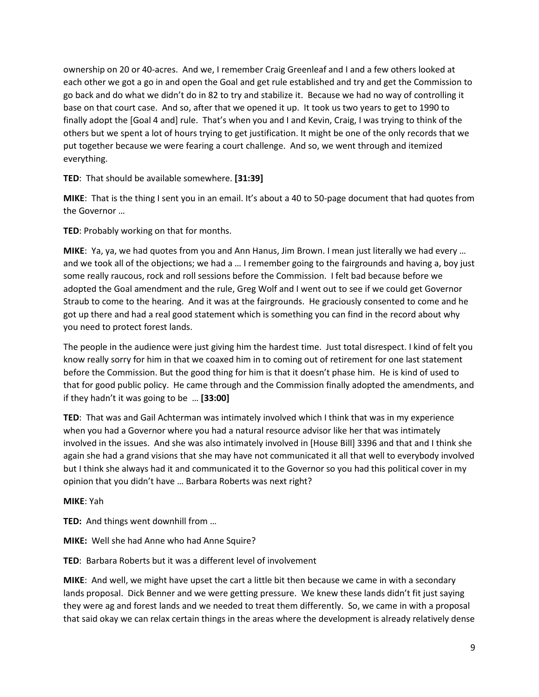ownership on 20 or 40-acres. And we, I remember Craig Greenleaf and I and a few others looked at each other we got a go in and open the Goal and get rule established and try and get the Commission to go back and do what we didn't do in 82 to try and stabilize it. Because we had no way of controlling it base on that court case. And so, after that we opened it up. It took us two years to get to 1990 to finally adopt the [Goal 4 and] rule. That's when you and I and Kevin, Craig, I was trying to think of the others but we spent a lot of hours trying to get justification. It might be one of the only records that we put together because we were fearing a court challenge. And so, we went through and itemized everything.

**TED**: That should be available somewhere. **[31:39]**

**MIKE**: That is the thing I sent you in an email. It's about a 40 to 50-page document that had quotes from the Governor …

**TED**: Probably working on that for months.

**MIKE**: Ya, ya, we had quotes from you and Ann Hanus, Jim Brown. I mean just literally we had every … and we took all of the objections; we had a … I remember going to the fairgrounds and having a, boy just some really raucous, rock and roll sessions before the Commission. I felt bad because before we adopted the Goal amendment and the rule, Greg Wolf and I went out to see if we could get Governor Straub to come to the hearing. And it was at the fairgrounds. He graciously consented to come and he got up there and had a real good statement which is something you can find in the record about why you need to protect forest lands.

The people in the audience were just giving him the hardest time. Just total disrespect. I kind of felt you know really sorry for him in that we coaxed him in to coming out of retirement for one last statement before the Commission. But the good thing for him is that it doesn't phase him. He is kind of used to that for good public policy. He came through and the Commission finally adopted the amendments, and if they hadn't it was going to be … **[33:00]**

**TED**: That was and Gail Achterman was intimately involved which I think that was in my experience when you had a Governor where you had a natural resource advisor like her that was intimately involved in the issues. And she was also intimately involved in [House Bill] 3396 and that and I think she again she had a grand visions that she may have not communicated it all that well to everybody involved but I think she always had it and communicated it to the Governor so you had this political cover in my opinion that you didn't have … Barbara Roberts was next right?

**MIKE**: Yah

**TED:** And things went downhill from …

**MIKE:** Well she had Anne who had Anne Squire?

**TED**: Barbara Roberts but it was a different level of involvement

**MIKE**: And well, we might have upset the cart a little bit then because we came in with a secondary lands proposal. Dick Benner and we were getting pressure. We knew these lands didn't fit just saying they were ag and forest lands and we needed to treat them differently. So, we came in with a proposal that said okay we can relax certain things in the areas where the development is already relatively dense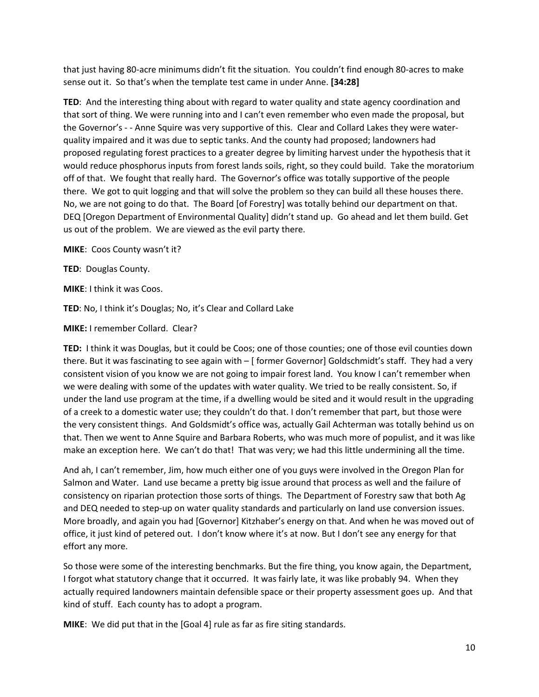that just having 80-acre minimums didn't fit the situation. You couldn't find enough 80-acres to make sense out it. So that's when the template test came in under Anne. **[34:28]**

**TED**:And the interesting thing about with regard to water quality and state agency coordination and that sort of thing. We were running into and I can't even remember who even made the proposal, but the Governor's - - Anne Squire was very supportive of this. Clear and Collard Lakes they were waterquality impaired and it was due to septic tanks. And the county had proposed; landowners had proposed regulating forest practices to a greater degree by limiting harvest under the hypothesis that it would reduce phosphorus inputs from forest lands soils, right, so they could build. Take the moratorium off of that. We fought that really hard. The Governor's office was totally supportive of the people there. We got to quit logging and that will solve the problem so they can build all these houses there. No, we are not going to do that. The Board [of Forestry] was totally behind our department on that. DEQ [Oregon Department of Environmental Quality] didn't stand up. Go ahead and let them build. Get us out of the problem. We are viewed as the evil party there.

**MIKE**: Coos County wasn't it?

**TED**: Douglas County.

**MIKE**: I think it was Coos.

**TED**: No, I think it's Douglas; No, it's Clear and Collard Lake

**MIKE:** I remember Collard. Clear?

**TED:** I think it was Douglas, but it could be Coos; one of those counties; one of those evil counties down there. But it was fascinating to see again with – [ former Governor] Goldschmidt's staff. They had a very consistent vision of you know we are not going to impair forest land. You know I can't remember when we were dealing with some of the updates with water quality. We tried to be really consistent. So, if under the land use program at the time, if a dwelling would be sited and it would result in the upgrading of a creek to a domestic water use; they couldn't do that. I don't remember that part, but those were the very consistent things. And Goldsmidt's office was, actually Gail Achterman was totally behind us on that. Then we went to Anne Squire and Barbara Roberts, who was much more of populist, and it was like make an exception here. We can't do that! That was very; we had this little undermining all the time.

And ah, I can't remember, Jim, how much either one of you guys were involved in the Oregon Plan for Salmon and Water. Land use became a pretty big issue around that process as well and the failure of consistency on riparian protection those sorts of things. The Department of Forestry saw that both Ag and DEQ needed to step-up on water quality standards and particularly on land use conversion issues. More broadly, and again you had [Governor] Kitzhaber's energy on that. And when he was moved out of office, it just kind of petered out. I don't know where it's at now. But I don't see any energy for that effort any more.

So those were some of the interesting benchmarks. But the fire thing, you know again, the Department, I forgot what statutory change that it occurred. It was fairly late, it was like probably 94. When they actually required landowners maintain defensible space or their property assessment goes up. And that kind of stuff. Each county has to adopt a program.

**MIKE**: We did put that in the [Goal 4] rule as far as fire siting standards.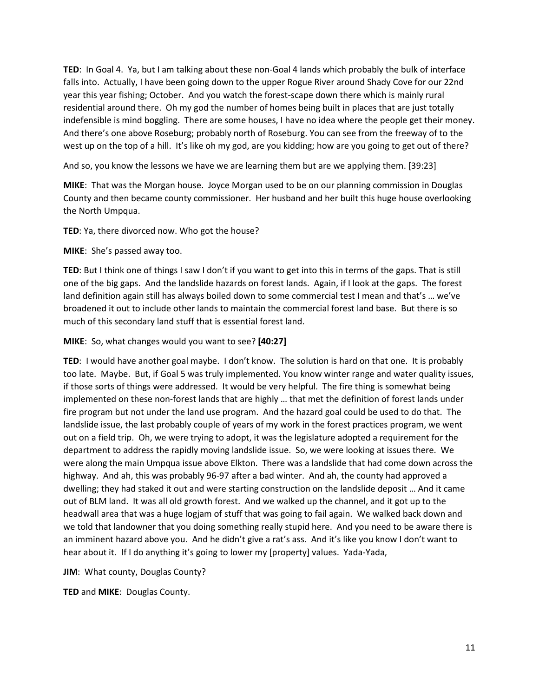**TED**: In Goal 4. Ya, but I am talking about these non-Goal 4 lands which probably the bulk of interface falls into. Actually, I have been going down to the upper Rogue River around Shady Cove for our 22nd year this year fishing; October. And you watch the forest-scape down there which is mainly rural residential around there. Oh my god the number of homes being built in places that are just totally indefensible is mind boggling. There are some houses, I have no idea where the people get their money. And there's one above Roseburg; probably north of Roseburg. You can see from the freeway of to the west up on the top of a hill. It's like oh my god, are you kidding; how are you going to get out of there?

And so, you know the lessons we have we are learning them but are we applying them. [39:23]

**MIKE**: That was the Morgan house. Joyce Morgan used to be on our planning commission in Douglas County and then became county commissioner. Her husband and her built this huge house overlooking the North Umpqua.

**TED**: Ya, there divorced now. Who got the house?

**MIKE**: She's passed away too.

**TED**: But I think one of things I saw I don't if you want to get into this in terms of the gaps. That is still one of the big gaps. And the landslide hazards on forest lands. Again, if I look at the gaps. The forest land definition again still has always boiled down to some commercial test I mean and that's … we've broadened it out to include other lands to maintain the commercial forest land base. But there is so much of this secondary land stuff that is essential forest land.

**MIKE**: So, what changes would you want to see? **[40:27]**

**TED**: I would have another goal maybe. I don't know. The solution is hard on that one. It is probably too late. Maybe. But, if Goal 5 was truly implemented. You know winter range and water quality issues, if those sorts of things were addressed. It would be very helpful. The fire thing is somewhat being implemented on these non-forest lands that are highly … that met the definition of forest lands under fire program but not under the land use program. And the hazard goal could be used to do that. The landslide issue, the last probably couple of years of my work in the forest practices program, we went out on a field trip. Oh, we were trying to adopt, it was the legislature adopted a requirement for the department to address the rapidly moving landslide issue. So, we were looking at issues there. We were along the main Umpqua issue above Elkton. There was a landslide that had come down across the highway. And ah, this was probably 96-97 after a bad winter. And ah, the county had approved a dwelling; they had staked it out and were starting construction on the landslide deposit … And it came out of BLM land. It was all old growth forest. And we walked up the channel, and it got up to the headwall area that was a huge logjam of stuff that was going to fail again. We walked back down and we told that landowner that you doing something really stupid here. And you need to be aware there is an imminent hazard above you. And he didn't give a rat's ass. And it's like you know I don't want to hear about it. If I do anything it's going to lower my [property] values. Yada-Yada,

**JIM**: What county, Douglas County?

**TED** and **MIKE**: Douglas County.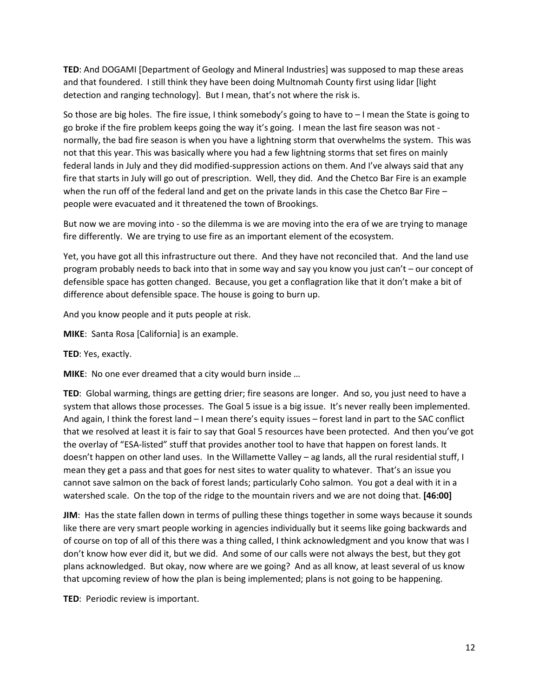**TED**: And DOGAMI [Department of Geology and Mineral Industries] was supposed to map these areas and that foundered. I still think they have been doing Multnomah County first using lidar [light detection and ranging technology]. But I mean, that's not where the risk is.

So those are big holes. The fire issue, I think somebody's going to have to – I mean the State is going to go broke if the fire problem keeps going the way it's going. I mean the last fire season was not normally, the bad fire season is when you have a lightning storm that overwhelms the system. This was not that this year. This was basically where you had a few lightning storms that set fires on mainly federal lands in July and they did modified-suppression actions on them. And I've always said that any fire that starts in July will go out of prescription. Well, they did. And the Chetco Bar Fire is an example when the run off of the federal land and get on the private lands in this case the Chetco Bar Fire – people were evacuated and it threatened the town of Brookings.

But now we are moving into - so the dilemma is we are moving into the era of we are trying to manage fire differently. We are trying to use fire as an important element of the ecosystem.

Yet, you have got all this infrastructure out there. And they have not reconciled that. And the land use program probably needs to back into that in some way and say you know you just can't – our concept of defensible space has gotten changed. Because, you get a conflagration like that it don't make a bit of difference about defensible space. The house is going to burn up.

And you know people and it puts people at risk.

**MIKE**: Santa Rosa [California] is an example.

**TED**: Yes, exactly.

**MIKE**: No one ever dreamed that a city would burn inside …

**TED**: Global warming, things are getting drier; fire seasons are longer. And so, you just need to have a system that allows those processes. The Goal 5 issue is a big issue. It's never really been implemented. And again, I think the forest land – I mean there's equity issues – forest land in part to the SAC conflict that we resolved at least it is fair to say that Goal 5 resources have been protected. And then you've got the overlay of "ESA-listed" stuff that provides another tool to have that happen on forest lands. It doesn't happen on other land uses. In the Willamette Valley – ag lands, all the rural residential stuff, I mean they get a pass and that goes for nest sites to water quality to whatever. That's an issue you cannot save salmon on the back of forest lands; particularly Coho salmon. You got a deal with it in a watershed scale. On the top of the ridge to the mountain rivers and we are not doing that. **[46:00]**

**JIM**: Has the state fallen down in terms of pulling these things together in some ways because it sounds like there are very smart people working in agencies individually but it seems like going backwards and of course on top of all of this there was a thing called, I think acknowledgment and you know that was I don't know how ever did it, but we did. And some of our calls were not always the best, but they got plans acknowledged. But okay, now where are we going? And as all know, at least several of us know that upcoming review of how the plan is being implemented; plans is not going to be happening.

**TED**: Periodic review is important.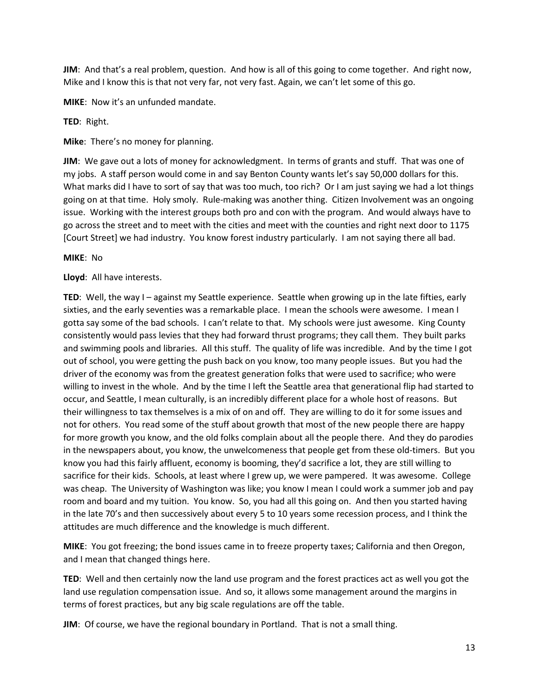**JIM**: And that's a real problem, question. And how is all of this going to come together. And right now, Mike and I know this is that not very far, not very fast. Again, we can't let some of this go.

**MIKE**: Now it's an unfunded mandate.

**TED**: Right.

**Mike**: There's no money for planning.

**JIM**: We gave out a lots of money for acknowledgment. In terms of grants and stuff. That was one of my jobs. A staff person would come in and say Benton County wants let's say 50,000 dollars for this. What marks did I have to sort of say that was too much, too rich? Or I am just saying we had a lot things going on at that time. Holy smoly. Rule-making was another thing. Citizen Involvement was an ongoing issue. Working with the interest groups both pro and con with the program. And would always have to go across the street and to meet with the cities and meet with the counties and right next door to 1175 [Court Street] we had industry. You know forest industry particularly. I am not saying there all bad.

#### **MIKE**: No

## **Lloyd**: All have interests.

**TED**: Well, the way I – against my Seattle experience. Seattle when growing up in the late fifties, early sixties, and the early seventies was a remarkable place. I mean the schools were awesome. I mean I gotta say some of the bad schools. I can't relate to that. My schools were just awesome. King County consistently would pass levies that they had forward thrust programs; they call them. They built parks and swimming pools and libraries. All this stuff. The quality of life was incredible. And by the time I got out of school, you were getting the push back on you know, too many people issues. But you had the driver of the economy was from the greatest generation folks that were used to sacrifice; who were willing to invest in the whole. And by the time I left the Seattle area that generational flip had started to occur, and Seattle, I mean culturally, is an incredibly different place for a whole host of reasons. But their willingness to tax themselves is a mix of on and off. They are willing to do it for some issues and not for others. You read some of the stuff about growth that most of the new people there are happy for more growth you know, and the old folks complain about all the people there. And they do parodies in the newspapers about, you know, the unwelcomeness that people get from these old-timers. But you know you had this fairly affluent, economy is booming, they'd sacrifice a lot, they are still willing to sacrifice for their kids. Schools, at least where I grew up, we were pampered. It was awesome. College was cheap. The University of Washington was like; you know I mean I could work a summer job and pay room and board and my tuition. You know. So, you had all this going on. And then you started having in the late 70's and then successively about every 5 to 10 years some recession process, and I think the attitudes are much difference and the knowledge is much different.

**MIKE**: You got freezing; the bond issues came in to freeze property taxes; California and then Oregon, and I mean that changed things here.

**TED**: Well and then certainly now the land use program and the forest practices act as well you got the land use regulation compensation issue. And so, it allows some management around the margins in terms of forest practices, but any big scale regulations are off the table.

**JIM**: Of course, we have the regional boundary in Portland. That is not a small thing.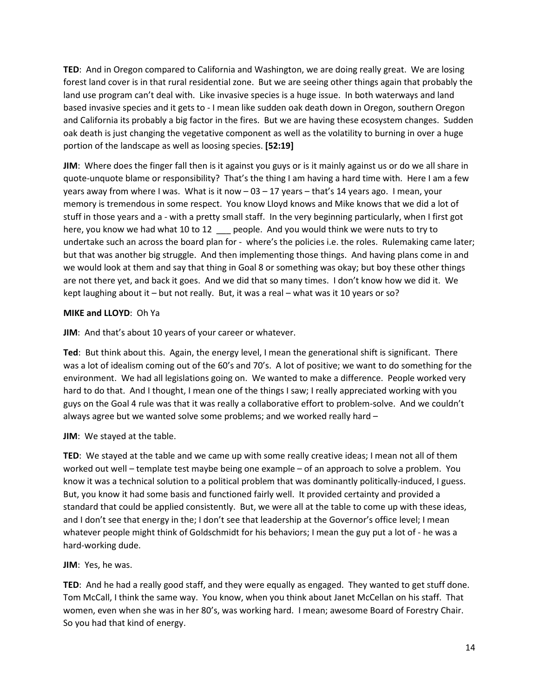**TED**: And in Oregon compared to California and Washington, we are doing really great. We are losing forest land cover is in that rural residential zone. But we are seeing other things again that probably the land use program can't deal with. Like invasive species is a huge issue. In both waterways and land based invasive species and it gets to - I mean like sudden oak death down in Oregon, southern Oregon and California its probably a big factor in the fires. But we are having these ecosystem changes. Sudden oak death is just changing the vegetative component as well as the volatility to burning in over a huge portion of the landscape as well as loosing species. **[52:19]**

**JIM**: Where does the finger fall then is it against you guys or is it mainly against us or do we all share in quote-unquote blame or responsibility? That's the thing I am having a hard time with. Here I am a few years away from where I was. What is it now – 03 – 17 years – that's 14 years ago. I mean, your memory is tremendous in some respect. You know Lloyd knows and Mike knows that we did a lot of stuff in those years and a - with a pretty small staff. In the very beginning particularly, when I first got here, you know we had what 10 to 12 people. And you would think we were nuts to try to undertake such an across the board plan for - where's the policies i.e. the roles. Rulemaking came later; but that was another big struggle. And then implementing those things. And having plans come in and we would look at them and say that thing in Goal 8 or something was okay; but boy these other things are not there yet, and back it goes. And we did that so many times. I don't know how we did it. We kept laughing about it – but not really. But, it was a real – what was it 10 years or so?

#### **MIKE and LLOYD**: Oh Ya

**JIM**: And that's about 10 years of your career or whatever.

**Ted**: But think about this. Again, the energy level, I mean the generational shift is significant. There was a lot of idealism coming out of the 60's and 70's. A lot of positive; we want to do something for the environment. We had all legislations going on. We wanted to make a difference. People worked very hard to do that. And I thought, I mean one of the things I saw; I really appreciated working with you guys on the Goal 4 rule was that it was really a collaborative effort to problem-solve. And we couldn't always agree but we wanted solve some problems; and we worked really hard –

**JIM**: We stayed at the table.

**TED**: We stayed at the table and we came up with some really creative ideas; I mean not all of them worked out well – template test maybe being one example – of an approach to solve a problem. You know it was a technical solution to a political problem that was dominantly politically-induced, I guess. But, you know it had some basis and functioned fairly well. It provided certainty and provided a standard that could be applied consistently. But, we were all at the table to come up with these ideas, and I don't see that energy in the; I don't see that leadership at the Governor's office level; I mean whatever people might think of Goldschmidt for his behaviors; I mean the guy put a lot of - he was a hard-working dude.

#### **JIM**: Yes, he was.

**TED**: And he had a really good staff, and they were equally as engaged. They wanted to get stuff done. Tom McCall, I think the same way. You know, when you think about Janet McCellan on his staff. That women, even when she was in her 80's, was working hard. I mean; awesome Board of Forestry Chair. So you had that kind of energy.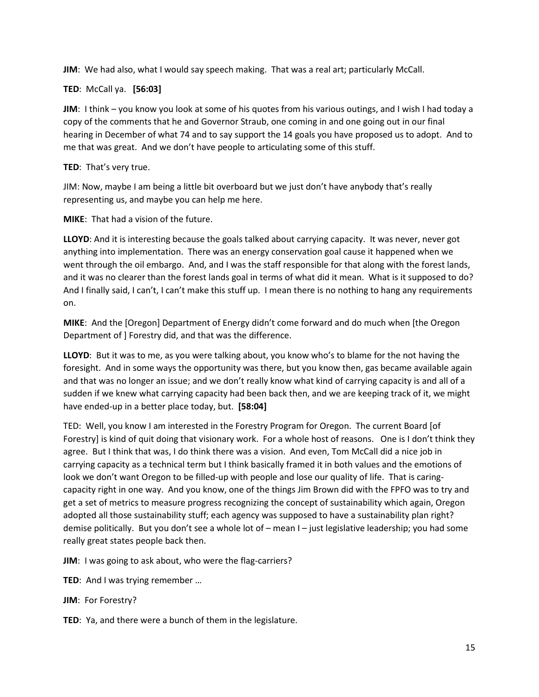**JIM**: We had also, what I would say speech making. That was a real art; particularly McCall.

**TED**: McCall ya. **[56:03]**

**JIM**: I think – you know you look at some of his quotes from his various outings, and I wish I had today a copy of the comments that he and Governor Straub, one coming in and one going out in our final hearing in December of what 74 and to say support the 14 goals you have proposed us to adopt. And to me that was great. And we don't have people to articulating some of this stuff.

# **TED**: That's very true.

JIM: Now, maybe I am being a little bit overboard but we just don't have anybody that's really representing us, and maybe you can help me here.

**MIKE**: That had a vision of the future.

**LLOYD**: And it is interesting because the goals talked about carrying capacity. It was never, never got anything into implementation. There was an energy conservation goal cause it happened when we went through the oil embargo. And, and I was the staff responsible for that along with the forest lands, and it was no clearer than the forest lands goal in terms of what did it mean. What is it supposed to do? And I finally said, I can't, I can't make this stuff up. I mean there is no nothing to hang any requirements on.

**MIKE**: And the [Oregon] Department of Energy didn't come forward and do much when [the Oregon Department of ] Forestry did, and that was the difference.

**LLOYD**: But it was to me, as you were talking about, you know who's to blame for the not having the foresight. And in some ways the opportunity was there, but you know then, gas became available again and that was no longer an issue; and we don't really know what kind of carrying capacity is and all of a sudden if we knew what carrying capacity had been back then, and we are keeping track of it, we might have ended-up in a better place today, but. **[58:04]**

TED: Well, you know I am interested in the Forestry Program for Oregon. The current Board [of Forestry] is kind of quit doing that visionary work. For a whole host of reasons. One is I don't think they agree. But I think that was, I do think there was a vision. And even, Tom McCall did a nice job in carrying capacity as a technical term but I think basically framed it in both values and the emotions of look we don't want Oregon to be filled-up with people and lose our quality of life. That is caringcapacity right in one way. And you know, one of the things Jim Brown did with the FPFO was to try and get a set of metrics to measure progress recognizing the concept of sustainability which again, Oregon adopted all those sustainability stuff; each agency was supposed to have a sustainability plan right? demise politically. But you don't see a whole lot of – mean I – just legislative leadership; you had some really great states people back then.

**JIM**: I was going to ask about, who were the flag-carriers?

- **TED**: And I was trying remember …
- **JIM**: For Forestry?

**TED**: Ya, and there were a bunch of them in the legislature.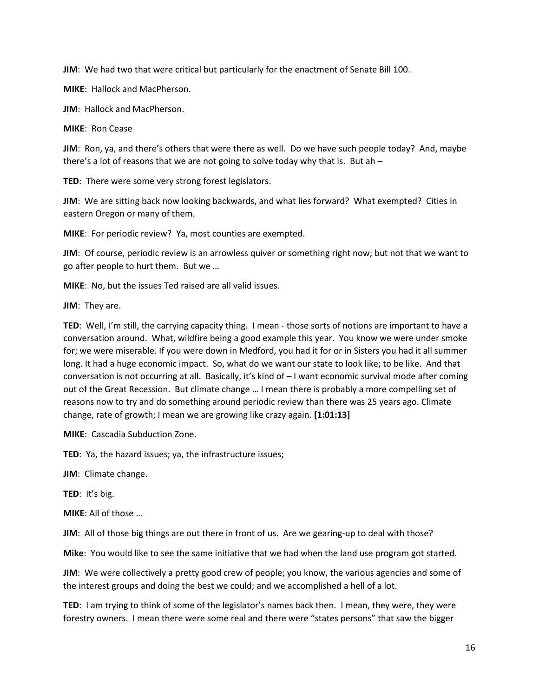**JIM**: We had two that were critical but particularly for the enactment of Senate Bill 100.

**MIKE**: Hallock and MacPherson.

**JIM**: Hallock and MacPherson.

**MIKE**: Ron Cease

**JIM**: Ron, ya, and there's others that were there as well. Do we have such people today? And, maybe there's a lot of reasons that we are not going to solve today why that is. But ah  $-$ 

**TED**: There were some very strong forest legislators.

**JIM**: We are sitting back now looking backwards, and what lies forward? What exempted? Cities in eastern Oregon or many of them.

**MIKE**: For periodic review? Ya, most counties are exempted.

**JIM**: Of course, periodic review is an arrowless quiver or something right now; but not that we want to go after people to hurt them. But we …

**MIKE**: No, but the issues Ted raised are all valid issues.

**JIM**: They are.

**TED**: Well, I'm still, the carrying capacity thing. I mean - those sorts of notions are important to have a conversation around. What, wildfire being a good example this year. You know we were under smoke for; we were miserable. If you were down in Medford, you had it for or in Sisters you had it all summer long. It had a huge economic impact. So, what do we want our state to look like; to be like. And that conversation is not occurring at all. Basically, it's kind of – I want economic survival mode after coming out of the Great Recession. But climate change … I mean there is probably a more compelling set of reasons now to try and do something around periodic review than there was 25 years ago. Climate change, rate of growth; I mean we are growing like crazy again. **[1:01:13]**

**MIKE**: Cascadia Subduction Zone.

**TED**: Ya, the hazard issues; ya, the infrastructure issues;

**JIM**: Climate change.

**TED**: It's big.

**MIKE**: All of those …

**JIM**: All of those big things are out there in front of us. Are we gearing-up to deal with those?

**Mike**: You would like to see the same initiative that we had when the land use program got started.

**JIM**: We were collectively a pretty good crew of people; you know, the various agencies and some of the interest groups and doing the best we could; and we accomplished a hell of a lot.

**TED**: I am trying to think of some of the legislator's names back then. I mean, they were, they were forestry owners. I mean there were some real and there were "states persons" that saw the bigger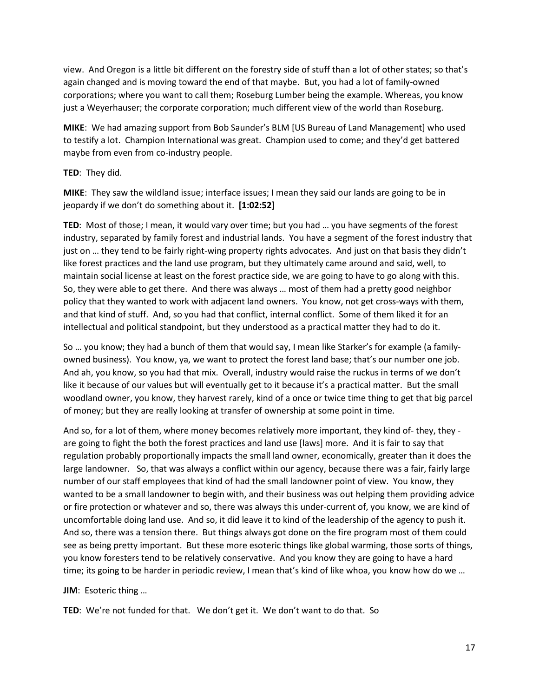view. And Oregon is a little bit different on the forestry side of stuff than a lot of other states; so that's again changed and is moving toward the end of that maybe. But, you had a lot of family-owned corporations; where you want to call them; Roseburg Lumber being the example. Whereas, you know just a Weyerhauser; the corporate corporation; much different view of the world than Roseburg.

**MIKE**: We had amazing support from Bob Saunder's BLM [US Bureau of Land Management] who used to testify a lot. Champion International was great. Champion used to come; and they'd get battered maybe from even from co-industry people.

#### **TED**: They did.

**MIKE**: They saw the wildland issue; interface issues; I mean they said our lands are going to be in jeopardy if we don't do something about it. **[1:02:52]**

**TED**: Most of those; I mean, it would vary over time; but you had … you have segments of the forest industry, separated by family forest and industrial lands. You have a segment of the forest industry that just on … they tend to be fairly right-wing property rights advocates. And just on that basis they didn't like forest practices and the land use program, but they ultimately came around and said, well, to maintain social license at least on the forest practice side, we are going to have to go along with this. So, they were able to get there. And there was always … most of them had a pretty good neighbor policy that they wanted to work with adjacent land owners. You know, not get cross-ways with them, and that kind of stuff. And, so you had that conflict, internal conflict. Some of them liked it for an intellectual and political standpoint, but they understood as a practical matter they had to do it.

So … you know; they had a bunch of them that would say, I mean like Starker's for example (a familyowned business). You know, ya, we want to protect the forest land base; that's our number one job. And ah, you know, so you had that mix. Overall, industry would raise the ruckus in terms of we don't like it because of our values but will eventually get to it because it's a practical matter. But the small woodland owner, you know, they harvest rarely, kind of a once or twice time thing to get that big parcel of money; but they are really looking at transfer of ownership at some point in time.

And so, for a lot of them, where money becomes relatively more important, they kind of- they, they are going to fight the both the forest practices and land use [laws] more. And it is fair to say that regulation probably proportionally impacts the small land owner, economically, greater than it does the large landowner. So, that was always a conflict within our agency, because there was a fair, fairly large number of our staff employees that kind of had the small landowner point of view. You know, they wanted to be a small landowner to begin with, and their business was out helping them providing advice or fire protection or whatever and so, there was always this under-current of, you know, we are kind of uncomfortable doing land use. And so, it did leave it to kind of the leadership of the agency to push it. And so, there was a tension there. But things always got done on the fire program most of them could see as being pretty important. But these more esoteric things like global warming, those sorts of things, you know foresters tend to be relatively conservative. And you know they are going to have a hard time; its going to be harder in periodic review, I mean that's kind of like whoa, you know how do we …

**JIM**: Esoteric thing …

**TED**: We're not funded for that. We don't get it. We don't want to do that. So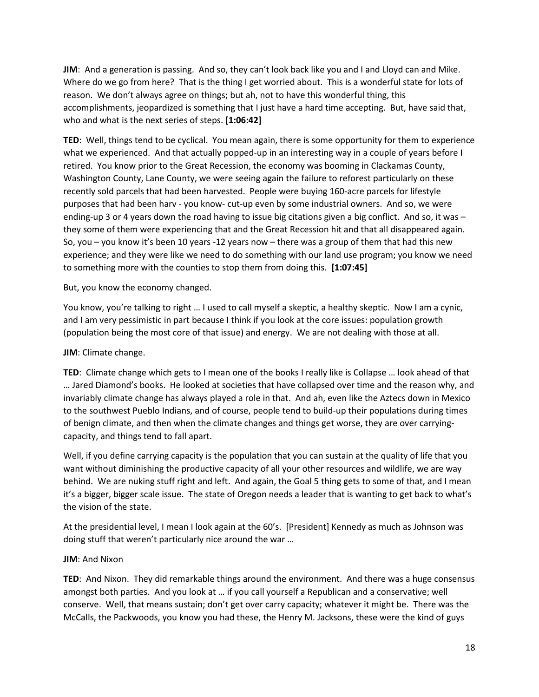**JIM**: And a generation is passing. And so, they can't look back like you and I and Lloyd can and Mike. Where do we go from here? That is the thing I get worried about. This is a wonderful state for lots of reason. We don't always agree on things; but ah, not to have this wonderful thing, this accomplishments, jeopardized is something that I just have a hard time accepting. But, have said that, who and what is the next series of steps. **[1:06:42]**

**TED**: Well, things tend to be cyclical. You mean again, there is some opportunity for them to experience what we experienced. And that actually popped-up in an interesting way in a couple of years before I retired. You know prior to the Great Recession, the economy was booming in Clackamas County, Washington County, Lane County, we were seeing again the failure to reforest particularly on these recently sold parcels that had been harvested. People were buying 160-acre parcels for lifestyle purposes that had been harv - you know- cut-up even by some industrial owners. And so, we were ending-up 3 or 4 years down the road having to issue big citations given a big conflict. And so, it was they some of them were experiencing that and the Great Recession hit and that all disappeared again. So, you – you know it's been 10 years -12 years now – there was a group of them that had this new experience; and they were like we need to do something with our land use program; you know we need to something more with the counties to stop them from doing this. **[1:07:45]**

But, you know the economy changed.

You know, you're talking to right … I used to call myself a skeptic, a healthy skeptic. Now I am a cynic, and I am very pessimistic in part because I think if you look at the core issues: population growth (population being the most core of that issue) and energy. We are not dealing with those at all.

# **JIM**: Climate change.

**TED**: Climate change which gets to I mean one of the books I really like is Collapse … look ahead of that … Jared Diamond's books. He looked at societies that have collapsed over time and the reason why, and invariably climate change has always played a role in that. And ah, even like the Aztecs down in Mexico to the southwest Pueblo Indians, and of course, people tend to build-up their populations during times of benign climate, and then when the climate changes and things get worse, they are over carryingcapacity, and things tend to fall apart.

Well, if you define carrying capacity is the population that you can sustain at the quality of life that you want without diminishing the productive capacity of all your other resources and wildlife, we are way behind. We are nuking stuff right and left. And again, the Goal 5 thing gets to some of that, and I mean it's a bigger, bigger scale issue. The state of Oregon needs a leader that is wanting to get back to what's the vision of the state.

At the presidential level, I mean I look again at the 60's. [President] Kennedy as much as Johnson was doing stuff that weren't particularly nice around the war …

#### **JIM**: And Nixon

**TED**: And Nixon. They did remarkable things around the environment. And there was a huge consensus amongst both parties. And you look at … if you call yourself a Republican and a conservative; well conserve. Well, that means sustain; don't get over carry capacity; whatever it might be. There was the McCalls, the Packwoods, you know you had these, the Henry M. Jacksons, these were the kind of guys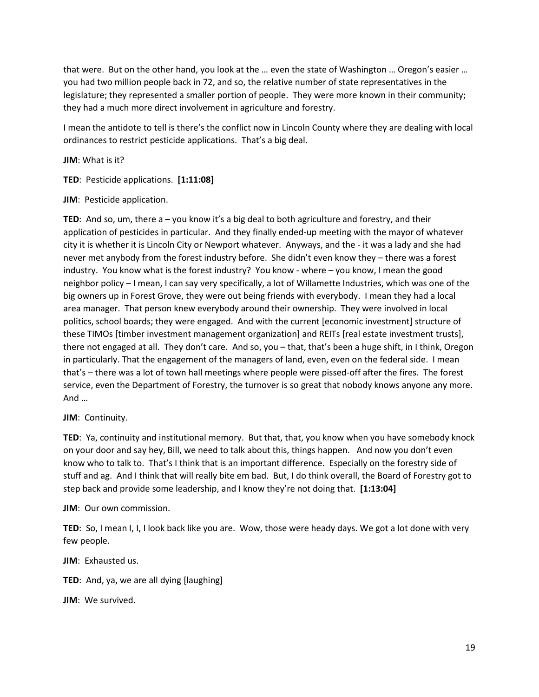that were. But on the other hand, you look at the … even the state of Washington … Oregon's easier … you had two million people back in 72, and so, the relative number of state representatives in the legislature; they represented a smaller portion of people. They were more known in their community; they had a much more direct involvement in agriculture and forestry.

I mean the antidote to tell is there's the conflict now in Lincoln County where they are dealing with local ordinances to restrict pesticide applications. That's a big deal.

**JIM**: What is it?

**TED**: Pesticide applications. **[1:11:08]**

**JIM**: Pesticide application.

**TED**: And so, um, there a – you know it's a big deal to both agriculture and forestry, and their application of pesticides in particular. And they finally ended-up meeting with the mayor of whatever city it is whether it is Lincoln City or Newport whatever. Anyways, and the - it was a lady and she had never met anybody from the forest industry before. She didn't even know they – there was a forest industry. You know what is the forest industry? You know - where – you know, I mean the good neighbor policy – I mean, I can say very specifically, a lot of Willamette Industries, which was one of the big owners up in Forest Grove, they were out being friends with everybody. I mean they had a local area manager. That person knew everybody around their ownership. They were involved in local politics, school boards; they were engaged. And with the current [economic investment] structure of these TIMOs [timber investment management organization] and REITs [real estate investment trusts], there not engaged at all. They don't care. And so, you – that, that's been a huge shift, in I think, Oregon in particularly. That the engagement of the managers of land, even, even on the federal side. I mean that's – there was a lot of town hall meetings where people were pissed-off after the fires. The forest service, even the Department of Forestry, the turnover is so great that nobody knows anyone any more. And …

**JIM**: Continuity.

**TED**: Ya, continuity and institutional memory. But that, that, you know when you have somebody knock on your door and say hey, Bill, we need to talk about this, things happen. And now you don't even know who to talk to. That's I think that is an important difference. Especially on the forestry side of stuff and ag. And I think that will really bite em bad. But, I do think overall, the Board of Forestry got to step back and provide some leadership, and I know they're not doing that. **[1:13:04]** 

**JIM**: Our own commission.

**TED**: So, I mean I, I, I look back like you are. Wow, those were heady days. We got a lot done with very few people.

**JIM**: Exhausted us.

**TED**: And, ya, we are all dying [laughing]

**JIM**: We survived.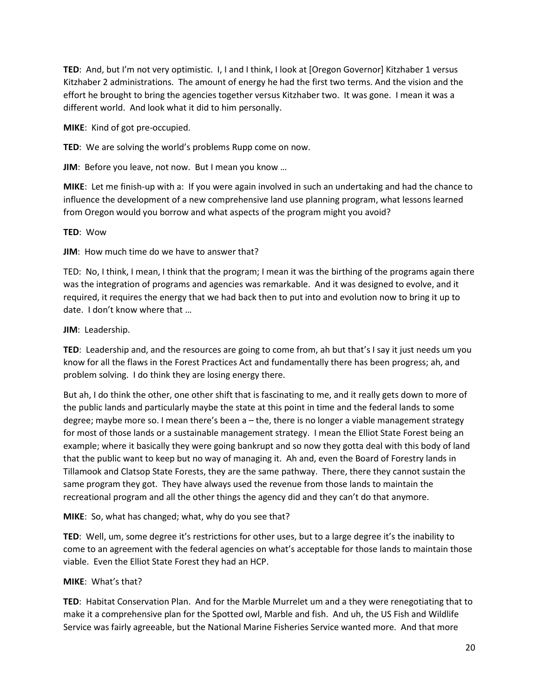**TED**: And, but I'm not very optimistic. I, I and I think, I look at [Oregon Governor] Kitzhaber 1 versus Kitzhaber 2 administrations. The amount of energy he had the first two terms. And the vision and the effort he brought to bring the agencies together versus Kitzhaber two. It was gone. I mean it was a different world. And look what it did to him personally.

**MIKE**: Kind of got pre-occupied.

**TED**: We are solving the world's problems Rupp come on now.

**JIM**: Before you leave, not now. But I mean you know …

**MIKE**: Let me finish-up with a: If you were again involved in such an undertaking and had the chance to influence the development of a new comprehensive land use planning program, what lessons learned from Oregon would you borrow and what aspects of the program might you avoid?

#### **TED**: Wow

**JIM**: How much time do we have to answer that?

TED: No, I think, I mean, I think that the program; I mean it was the birthing of the programs again there was the integration of programs and agencies was remarkable. And it was designed to evolve, and it required, it requires the energy that we had back then to put into and evolution now to bring it up to date. I don't know where that …

#### **JIM**: Leadership.

**TED:** Leadership and, and the resources are going to come from, ah but that's I say it just needs um you know for all the flaws in the Forest Practices Act and fundamentally there has been progress; ah, and problem solving. I do think they are losing energy there.

But ah, I do think the other, one other shift that is fascinating to me, and it really gets down to more of the public lands and particularly maybe the state at this point in time and the federal lands to some degree; maybe more so. I mean there's been a – the, there is no longer a viable management strategy for most of those lands or a sustainable management strategy. I mean the Elliot State Forest being an example; where it basically they were going bankrupt and so now they gotta deal with this body of land that the public want to keep but no way of managing it. Ah and, even the Board of Forestry lands in Tillamook and Clatsop State Forests, they are the same pathway. There, there they cannot sustain the same program they got. They have always used the revenue from those lands to maintain the recreational program and all the other things the agency did and they can't do that anymore.

#### **MIKE**: So, what has changed; what, why do you see that?

**TED**: Well, um, some degree it's restrictions for other uses, but to a large degree it's the inability to come to an agreement with the federal agencies on what's acceptable for those lands to maintain those viable. Even the Elliot State Forest they had an HCP.

#### **MIKE**: What's that?

**TED**: Habitat Conservation Plan. And for the Marble Murrelet um and a they were renegotiating that to make it a comprehensive plan for the Spotted owl, Marble and fish. And uh, the US Fish and Wildlife Service was fairly agreeable, but the National Marine Fisheries Service wanted more. And that more